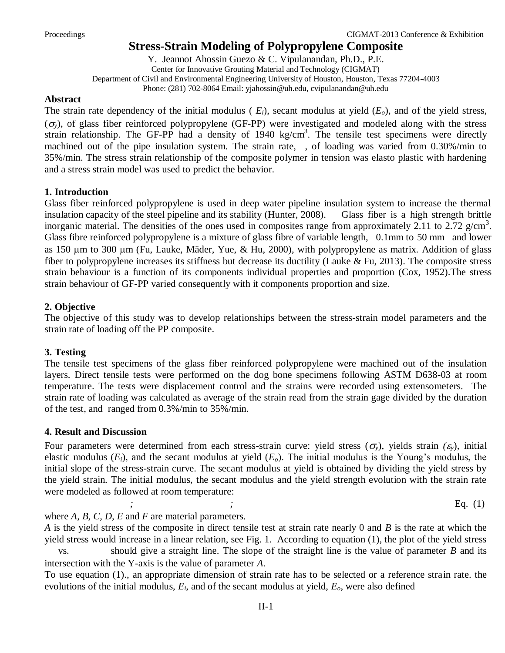# **Stress-Strain Modeling of Polypropylene Composite**

Y. Jeannot Ahossin Guezo & C. Vipulanandan, Ph.D., P.E. Center for Innovative Grouting Material and Technology (CIGMAT) Department of Civil and Environmental Engineering University of Houston, Houston, Texas 77204-4003 Phone: (281) 702-8064 Email: yjahossin@uh.edu, cvipulanandan@uh.edu

#### **Abstract**

The strain rate dependency of the initial modulus ( $E_i$ ), secant modulus at yield  $(E_o)$ , and of the yield stress,  $(\sigma_{\rm v})$ , of glass fiber reinforced polypropylene (GF-PP) were investigated and modeled along with the stress strain relationship. The GF-PP had a density of 1940 kg/cm<sup>3</sup>. The tensile test specimens were directly machined out of the pipe insulation system. The strain rate, , of loading was varied from 0.30%/min to 35%/min. The stress strain relationship of the composite polymer in tension was elasto plastic with hardening and a stress strain model was used to predict the behavior.

## **1. Introduction**

Glass fiber reinforced polypropylene is used in deep water pipeline insulation system to increase the thermal insulation capacity of the steel pipeline and its stability (Hunter, 2008). Glass fiber is a high strength brittle inorganic material. The densities of the ones used in composites range from approximately 2.11 to 2.72  $g/cm^3$ . Glass fibre reinforced polypropylene is a mixture of glass fibre of variable length, 0.1mm to 50 mm and lower as 150 µm to 300 µm (Fu, Lauke, Mäder, Yue, & Hu, 2000), with polypropylene as matrix. Addition of glass fiber to polypropylene increases its stiffness but decrease its ductility (Lauke  $& Fu$ , 2013). The composite stress strain behaviour is a function of its components individual properties and proportion (Cox, 1952).The stress strain behaviour of GF-PP varied consequently with it components proportion and size.

## **2. Objective**

The objective of this study was to develop relationships between the stress-strain model parameters and the strain rate of loading off the PP composite.

## **3. Testing**

The tensile test specimens of the glass fiber reinforced polypropylene were machined out of the insulation layers. Direct tensile tests were performed on the dog bone specimens following ASTM D638-03 at room temperature. The tests were displacement control and the strains were recorded using extensometers. The strain rate of loading was calculated as average of the strain read from the strain gage divided by the duration of the test, and ranged from 0.3%/min to 35%/min.

## **4. Result and Discussion**

Four parameters were determined from each stress-strain curve: yield stress  $(\sigma_{\nu})$ , yields strain  $(\varepsilon_{\nu})$ , initial elastic modulus (*Ei*), and the secant modulus at yield (*Eo*). The initial modulus is the Young's modulus, the initial slope of the stress-strain curve. The secant modulus at yield is obtained by dividing the yield stress by the yield strain. The initial modulus, the secant modulus and the yield strength evolution with the strain rate were modeled as followed at room temperature:

*; ;* Eq. (1)

where *A, B, C, D, E* and *F* are material parameters.

*A* is the yield stress of the composite in direct tensile test at strain rate nearly 0 and *B* is the rate at which the yield stress would increase in a linear relation, see Fig. 1. According to equation (1), the plot of the yield stress

vs. should give a straight line. The slope of the straight line is the value of parameter *B* and its intersection with the Y-axis is the value of parameter *A*.

To use equation (1)., an appropriate dimension of strain rate has to be selected or a reference strain rate. the evolutions of the initial modulus, *Ei*, and of the secant modulus at yield, *Eo*, were also defined